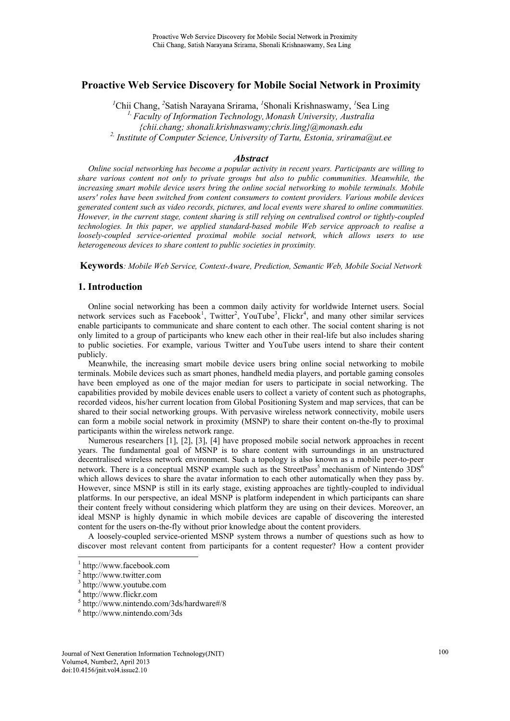# **Proactive Web Service Discovery for Mobile Social Network in Proximity**

<sup>1</sup>Chii Chang, <sup>2</sup>Satish Narayana Srirama, <sup>1</sup>Shonali Krishnaswamy, <sup>1</sup>Sea Ling *1, Faculty of Information Technology, Monash University, Australia {chii.chang; shonali.krishnaswamy;chris.ling}@monash.edu 2, Institute of Computer Science, University of Tartu, Estonia, srirama@ut.ee* 

## *Abstract*

*Online social networking has become a popular activity in recent years. Participants are willing to share various content not only to private groups but also to public communities. Meanwhile, the increasing smart mobile device users bring the online social networking to mobile terminals. Mobile users' roles have been switched from content consumers to content providers. Various mobile devices generated content such as video records, pictures, and local events were shared to online communities. However, in the current stage, content sharing is still relying on centralised control or tightly-coupled technologies. In this paper, we applied standard-based mobile Web service approach to realise a loosely-coupled service-oriented proximal mobile social network, which allows users to use heterogeneous devices to share content to public societies in proximity.* 

**Keywords***: Mobile Web Service, Context-Aware, Prediction, Semantic Web, Mobile Social Network* 

# **1. Introduction**

Online social networking has been a common daily activity for worldwide Internet users. Social network services such as Facebook<sup>1</sup>, Twitter<sup>2</sup>, YouTube<sup>3</sup>, Flickr<sup>4</sup>, and many other similar services enable participants to communicate and share content to each other. The social content sharing is not only limited to a group of participants who knew each other in their real-life but also includes sharing to public societies. For example, various Twitter and YouTube users intend to share their content publicly.

Meanwhile, the increasing smart mobile device users bring online social networking to mobile terminals. Mobile devices such as smart phones, handheld media players, and portable gaming consoles have been employed as one of the major median for users to participate in social networking. The capabilities provided by mobile devices enable users to collect a variety of content such as photographs, recorded videos, his/her current location from Global Positioning System and map services, that can be shared to their social networking groups. With pervasive wireless network connectivity, mobile users can form a mobile social network in proximity (MSNP) to share their content on-the-fly to proximal participants within the wireless network range.

Numerous researchers [1], [2], [3], [4] have proposed mobile social network approaches in recent years. The fundamental goal of MSNP is to share content with surroundings in an unstructured decentralised wireless network environment. Such a topology is also known as a mobile peer-to-peer network. There is a conceptual MSNP example such as the StreetPass<sup>5</sup> mechanism of Nintendo  $3DS<sup>6</sup>$ which allows devices to share the avatar information to each other automatically when they pass by. However, since MSNP is still in its early stage, existing approaches are tightly-coupled to individual platforms. In our perspective, an ideal MSNP is platform independent in which participants can share their content freely without considering which platform they are using on their devices. Moreover, an ideal MSNP is highly dynamic in which mobile devices are capable of discovering the interested content for the users on-the-fly without prior knowledge about the content providers.

A loosely-coupled service-oriented MSNP system throws a number of questions such as how to discover most relevant content from participants for a content requester? How a content provider

 1 http://www.facebook.com

<sup>2</sup> http://www.twitter.com

<sup>3</sup> http://www.youtube.com

<sup>4</sup> http://www.flickr.com

<sup>5</sup> http://www.nintendo.com/3ds/hardware#/8

<sup>6</sup> http://www.nintendo.com/3ds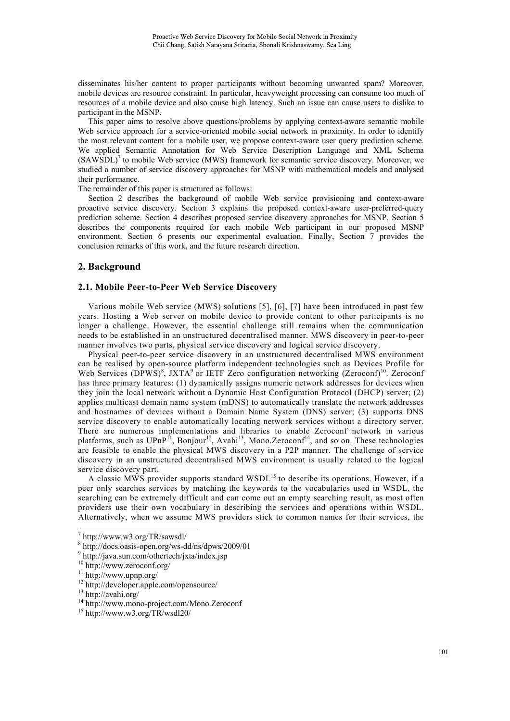disseminates his/her content to proper participants without becoming unwanted spam? Moreover, mobile devices are resource constraint. In particular, heavyweight processing can consume too much of resources of a mobile device and also cause high latency. Such an issue can cause users to dislike to participant in the MSNP.

This paper aims to resolve above questions/problems by applying context-aware semantic mobile Web service approach for a service-oriented mobile social network in proximity. In order to identify the most relevant content for a mobile user, we propose context-aware user query prediction scheme. We applied Semantic Annotation for Web Service Description Language and XML Schema  $(SAWSDL)^7$  to mobile Web service (MWS) framework for semantic service discovery. Moreover, we studied a number of service discovery approaches for MSNP with mathematical models and analysed their performance.

The remainder of this paper is structured as follows:

Section 2 describes the background of mobile Web service provisioning and context-aware proactive service discovery. Section 3 explains the proposed context-aware user-preferred-query prediction scheme. Section 4 describes proposed service discovery approaches for MSNP. Section 5 describes the components required for each mobile Web participant in our proposed MSNP environment. Section 6 presents our experimental evaluation. Finally, Section 7 provides the conclusion remarks of this work, and the future research direction.

## **2. Background**

## **2.1. Mobile Peer-to-Peer Web Service Discovery**

Various mobile Web service (MWS) solutions [5], [6], [7] have been introduced in past few years. Hosting a Web server on mobile device to provide content to other participants is no longer a challenge. However, the essential challenge still remains when the communication needs to be established in an unstructured decentralised manner. MWS discovery in peer-to-peer manner involves two parts, physical service discovery and logical service discovery.

Physical peer-to-peer service discovery in an unstructured decentralised MWS environment can be realised by open-source platform independent technologies such as Devices Profile for Web Services (DPWS)<sup>8</sup>, JXTA<sup>9</sup> or IETF Zero configuration networking (Zeroconf)<sup>10</sup>. Zeroconf has three primary features: (1) dynamically assigns numeric network addresses for devices when they join the local network without a Dynamic Host Configuration Protocol (DHCP) server; (2) applies multicast domain name system (mDNS) to automatically translate the network addresses and hostnames of devices without a Domain Name System (DNS) server; (3) supports DNS service discovery to enable automatically locating network services without a directory server. There are numerous implementations and libraries to enable Zeroconf network in various platforms, such as  $UPnP^{11}$ , Bonjour<sup>12</sup>, Avahi<sup>13</sup>, Mono.Zeroconf<sup>14</sup>, and so on. These technologies are feasible to enable the physical MWS discovery in a P2P manner. The challenge of service discovery in an unstructured decentralised MWS environment is usually related to the logical service discovery part.

A classic MWS provider supports standard WSDL<sup>15</sup> to describe its operations. However, if a peer only searches services by matching the keywords to the vocabularies used in WSDL, the searching can be extremely difficult and can come out an empty searching result, as most often providers use their own vocabulary in describing the services and operations within WSDL. Alternatively, when we assume MWS providers stick to common names for their services, the

l

<sup>7</sup> http://www.w3.org/TR/sawsdl/

<sup>8</sup> http://docs.oasis-open.org/ws-dd/ns/dpws/2009/01

<sup>9</sup> http://java.sun.com/othertech/jxta/index.jsp

<sup>10</sup> http://www.zeroconf.org/

<sup>11</sup> http://www.upnp.org/

<sup>&</sup>lt;sup>12</sup> http://developer.apple.com/opensource/

<sup>13</sup> http://avahi.org/

<sup>&</sup>lt;sup>14</sup> http://www.mono-project.com/Mono.Zeroconf

<sup>15</sup> http://www.w3.org/TR/wsdl20/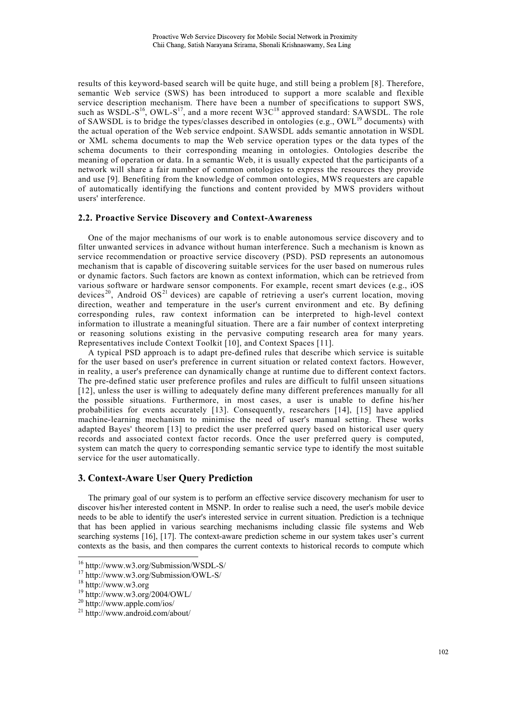results of this keyword-based search will be quite huge, and still being a problem [8]. Therefore, semantic Web service (SWS) has been introduced to support a more scalable and flexible service description mechanism. There have been a number of specifications to support SWS, such as WSDL-S<sup>16</sup>, OWL-S<sup>17</sup>, and a more recent W3C<sup>18</sup> approved standard: SAWSDL. The role of SAWSDL is to bridge the types/classes described in ontologies (e.g.,  $\text{OWL}^{19}$  documents) with the actual operation of the Web service endpoint. SAWSDL adds semantic annotation in WSDL or XML schema documents to map the Web service operation types or the data types of the schema documents to their corresponding meaning in ontologies. Ontologies describe the meaning of operation or data. In a semantic Web, it is usually expected that the participants of a network will share a fair number of common ontologies to express the resources they provide and use [9]. Benefiting from the knowledge of common ontologies, MWS requesters are capable of automatically identifying the functions and content provided by MWS providers without users' interference.

#### **2.2. Proactive Service Discovery and Context-Awareness**

One of the major mechanisms of our work is to enable autonomous service discovery and to filter unwanted services in advance without human interference. Such a mechanism is known as service recommendation or proactive service discovery (PSD). PSD represents an autonomous mechanism that is capable of discovering suitable services for the user based on numerous rules or dynamic factors. Such factors are known as context information, which can be retrieved from various software or hardware sensor components. For example, recent smart devices (e.g., iOS devices<sup>20</sup>, Android OS<sup>21</sup> devices) are capable of retrieving a user's current location, moving direction, weather and temperature in the user's current environment and etc. By defining corresponding rules, raw context information can be interpreted to high-level context information to illustrate a meaningful situation. There are a fair number of context interpreting or reasoning solutions existing in the pervasive computing research area for many years. Representatives include Context Toolkit [10], and Context Spaces [11].

A typical PSD approach is to adapt pre-defined rules that describe which service is suitable for the user based on user's preference in current situation or related context factors. However, in reality, a user's preference can dynamically change at runtime due to different context factors. The pre-defined static user preference profiles and rules are difficult to fulfil unseen situations [12], unless the user is willing to adequately define many different preferences manually for all the possible situations. Furthermore, in most cases, a user is unable to define his/her probabilities for events accurately [13]. Consequently, researchers [14], [15] have applied machine-learning mechanism to minimise the need of user's manual setting. These works adapted Bayes' theorem [13] to predict the user preferred query based on historical user query records and associated context factor records. Once the user preferred query is computed, system can match the query to corresponding semantic service type to identify the most suitable service for the user automatically.

# **3. Context-Aware User Query Prediction**

The primary goal of our system is to perform an effective service discovery mechanism for user to discover his/her interested content in MSNP. In order to realise such a need, the user's mobile device needs to be able to identify the user's interested service in current situation. Prediction is a technique that has been applied in various searching mechanisms including classic file systems and Web searching systems [16], [17]. The context-aware prediction scheme in our system takes user's current contexts as the basis, and then compares the current contexts to historical records to compute which

j

<sup>16</sup> http://www.w3.org/Submission/WSDL-S/

<sup>17</sup> http://www.w3.org/Submission/OWL-S/

 $18 \frac{1}{10}$ ://www.w3.org

<sup>19</sup> http://www.w3.org/2004/OWL/

<sup>20</sup> http://www.apple.com/ios/

<sup>21</sup> http://www.android.com/about/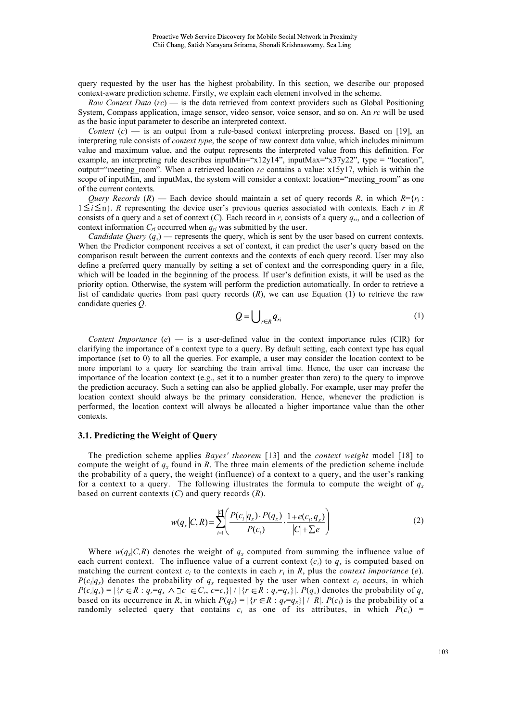query requested by the user has the highest probability. In this section, we describe our proposed context-aware prediction scheme. Firstly, we explain each element involved in the scheme.

*Raw Context Data* (*rc*) — is the data retrieved from context providers such as Global Positioning System, Compass application, image sensor, video sensor, voice sensor, and so on. An *rc* will be used as the basic input parameter to describe an interpreted context.

*Context*  $(c)$  — is an output from a rule-based context interpreting process. Based on [19], an interpreting rule consists of *context type*, the scope of raw context data value, which includes minimum value and maximum value, and the output represents the interpreted value from this definition. For example, an interpreting rule describes inputMin=" $x12y14$ ", inputMax=" $x37y22$ ", type = "location", output="meeting room". When a retrieved location  $rc$  contains a value:  $x15y17$ , which is within the scope of inputMin, and inputMax, the system will consider a context: location="meeting room" as one of the current contexts.

*Query Records* (*R*) — Each device should maintain a set of query records *R*, in which  $R = \{r_i :$  $1 \le i \le n$ . *R* representing the device user's previous queries associated with contexts. Each *r* in *R* consists of a query and a set of context  $(C)$ . Each record in  $r_i$  consists of a query  $q_{ri}$ , and a collection of context information  $C_{ri}$  occurred when  $q_{ri}$  was submitted by the user.

*Candidate Query*  $(q_x)$  — represents the query, which is sent by the user based on current contexts. When the Predictor component receives a set of context, it can predict the user's query based on the comparison result between the current contexts and the contexts of each query record. User may also define a preferred query manually by setting a set of context and the corresponding query in a file, which will be loaded in the beginning of the process. If user's definition exists, it will be used as the priority option. Otherwise, the system will perform the prediction automatically. In order to retrieve a list of candidate queries from past query records (*R*), we can use Equation (1) to retrieve the raw candidate queries *Q*.

$$
Q = \bigcup_{r \in R} q_{ri} \tag{1}
$$

*Context Importance* ( $e$ ) — is a user-defined value in the context importance rules (CIR) for clarifying the importance of a context type to a query. By default setting, each context type has equal importance (set to 0) to all the queries. For example, a user may consider the location context to be more important to a query for searching the train arrival time. Hence, the user can increase the importance of the location context (e.g., set it to a number greater than zero) to the query to improve the prediction accuracy. Such a setting can also be applied globally. For example, user may prefer the location context should always be the primary consideration. Hence, whenever the prediction is performed, the location context will always be allocated a higher importance value than the other contexts.

# **3.1. Predicting the Weight of Query**

The prediction scheme applies *Bayes' theorem* [13] and the *context weight* model [18] to compute the weight of  $q_x$  found in *R*. The three main elements of the prediction scheme include the probability of a query, the weight (influence) of a context to a query, and the user's ranking for a context to a query. The following illustrates the formula to compute the weight of  $q<sub>x</sub>$ based on current contexts (*C*) and query records (*R*).

$$
w(q_x|C,R) = \sum_{i=1}^{|C|} \left( \frac{P(c_i|q_x) \cdot P(q_x)}{P(c_i)} \cdot \frac{1 + e(c_i, q_x)}{|C| + \sum e} \right)
$$
 (2)

Where  $w(q_x|C,R)$  denotes the weight of  $q_x$  computed from summing the influence value of each current context. The influence value of a current context  $(c_i)$  to  $q_x$  is computed based on matching the current context  $c_i$  to the contexts in each  $r_i$  in  $R$ , plus the *context importance* (*e*).  $P(c_i|q_x)$  denotes the probability of  $q_x$  requested by the user when context  $c_i$  occurs, in which  $P(c_i|q_x) = |\{r \in R : q_r = q_x \land \exists c \in C_r, c = c_i\}| / |\{r \in R : q_r = q_x\}|.$   $P(q_x)$  denotes the probability of  $q_x$ based on its occurrence in *R*, in which  $P(q_x) = |\{r \in R : q_r = q_x\}| / |R|$ .  $P(c_i)$  is the probability of a randomly selected query that contains  $c_i$  as one of its attributes, in which  $P(c_i)$  =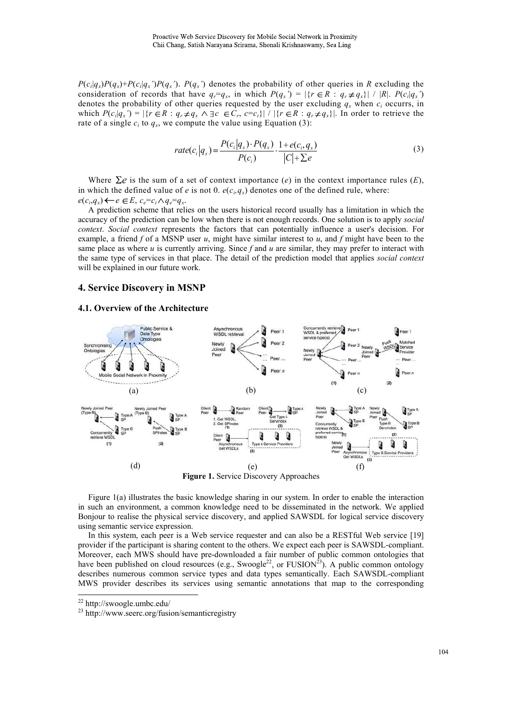$P(c_i|q_x)P(q_x)+P(c_i|q_x')P(q_x')$ .  $P(q_x')$  denotes the probability of other queries in R excluding the consideration of records that have  $q_r = q_x$ , in which  $P(q_x') = |\{r \in R : q_r \neq q_x\}| / |R|$ .  $P(c_i|q_x')$ denotes the probability of other queries requested by the user excluding  $q_x$  when  $c_i$  occurrs, in which  $P(c_i|q_x) = |\{r \in R : q_r \neq q_x \land \exists c \in C_r, c=c_i\}| / |\{r \in R : q_r \neq q_x\}|$ . In order to retrieve the rate of a single  $c_i$  to  $q_x$ , we compute the value using Equation (3):

$$
rate(c_i|q_x) = \frac{P(c_i|q_x) \cdot P(q_x)}{P(c_i)} \cdot \frac{1 + e(c_i, q_x)}{|C| + \sum e}
$$
\n(3)

Where  $\Sigma e$  is the sum of a set of context importance (*e*) in the context importance rules (*E*), in which the defined value of *e* is not 0.  $e(c_i, q_x)$  denotes one of the defined rule, where:  $e(c_i, q_x) \leftarrow e \in E$ ,  $c_e = c_i \land q_e = q_x$ .

A prediction scheme that relies on the users historical record usually has a limitation in which the accuracy of the prediction can be low when there is not enough records. One solution is to apply *social context*. *Social context* represents the factors that can potentially influence a user's decision. For example, a friend  $f$  of a MSNP user  $u$ , might have similar interest to  $u$ , and  $f$  might have been to the same place as where  $u$  is currently arriving. Since  $f$  and  $u$  are similar, they may prefer to interact with the same type of services in that place. The detail of the prediction model that applies *social context* will be explained in our future work.

## **4. Service Discovery in MSNP**

# **4.1. Overview of the Architecture**



Figure 1(a) illustrates the basic knowledge sharing in our system. In order to enable the interaction in such an environment, a common knowledge need to be disseminated in the network. We applied Bonjour to realise the physical service discovery, and applied SAWSDL for logical service discovery using semantic service expression.

In this system, each peer is a Web service requester and can also be a RESTful Web service [19] provider if the participant is sharing content to the others. We expect each peer is SAWSDL-compliant. Moreover, each MWS should have pre-downloaded a fair number of public common ontologies that have been published on cloud resources (e.g., Swoogle<sup>22</sup>, or FUSION<sup>23</sup>). A public common ontology describes numerous common service types and data types semantically. Each SAWSDL-compliant MWS provider describes its services using semantic annotations that map to the corresponding

j

<sup>22</sup> http://swoogle.umbc.edu/

<sup>23</sup> http://www.seerc.org/fusion/semanticregistry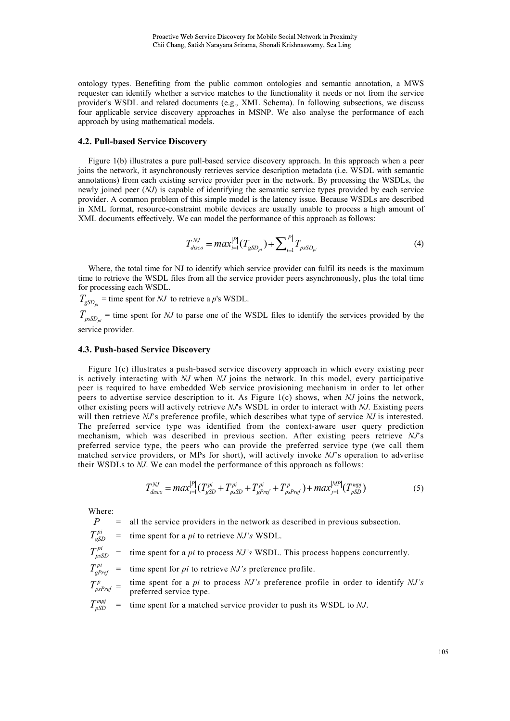ontology types. Benefiting from the public common ontologies and semantic annotation, a MWS requester can identify whether a service matches to the functionality it needs or not from the service provider's WSDL and related documents (e.g., XML Schema). In following subsections, we discuss four applicable service discovery approaches in MSNP. We also analyse the performance of each approach by using mathematical models.

#### **4.2. Pull-based Service Discovery**

Figure 1(b) illustrates a pure pull-based service discovery approach. In this approach when a peer joins the network, it asynchronously retrieves service description metadata (i.e. WSDL with semantic annotations) from each existing service provider peer in the network. By processing the WSDLs, the newly joined peer (*NJ*) is capable of identifying the semantic service types provided by each service provider. A common problem of this simple model is the latency issue. Because WSDLs are described in XML format, resource-constraint mobile devices are usually unable to process a high amount of XML documents effectively. We can model the performance of this approach as follows:

$$
T_{disco}^{NJ} = max_{i=1}^{|P|} (T_{gSD_{pi}}) + \sum_{i=1}^{|P|} T_{pSSD_{pi}}
$$
(4)

Where, the total time for NJ to identify which service provider can fulfil its needs is the maximum time to retrieve the WSDL files from all the service provider peers asynchronously, plus the total time for processing each WSDL.

 $T_{gSD_{pi}}$  = time spent for *NJ* to retrieve a *p*'s WSDL.

 $T_{psSD_{pi}}$  = time spent for *NJ* to parse one of the WSDL files to identify the services provided by the service provider.

#### **4.3. Push-based Service Discovery**

Figure 1(c) illustrates a push-based service discovery approach in which every existing peer is actively interacting with *NJ* when *NJ* joins the network. In this model, every participative peer is required to have embedded Web service provisioning mechanism in order to let other peers to advertise service description to it. As Figure 1(c) shows, when *NJ* joins the network, other existing peers will actively retrieve *NJ*'s WSDL in order to interact with *NJ*. Existing peers will then retrieve *NJ*'s preference profile, which describes what type of service *NJ* is interested. The preferred service type was identified from the context-aware user query prediction mechanism, which was described in previous section. After existing peers retrieve *NJ*'s preferred service type, the peers who can provide the preferred service type (we call them matched service providers, or MPs for short), will actively invoke *NJ*'s operation to advertise their WSDLs to  $\tilde{N}$ . We can model the performance of this approach as follows:

$$
T_{disco}^{NJ} = max_{i=1}^{|P|} (T_{gSD}^{pi} + T_{pSD}^{pi} + T_{gPref}^{pi} + T_{pspref}^{p}) + max_{j=1}^{|MP|} (T_{pSD}^{mpj})
$$
(5)

Where:

 $P =$ all the service providers in the network as described in previous subsection.

 $T_{\rm gSD}^{pi}$ *time spent for a <i>pi* to retrieve *NJ's* WSDL.

$$
T_{psSD}^{pi}
$$
 = time spent for a *pi* to process *NJ's* WSDL. This process happens concurrently.

*TgPref time spent for <i>pi* to retrieve *NJ's* preference profile.

$$
T_{psPref}^p = \frac{\text{time spent for a } pi \text{ to process } NJ \text{'s preference profile in order to identify } NJ \text{'s}
$$
  
preferred service type.

 $T_{pSD}^{mpj}$ *mia* time spent for a matched service provider to push its WSDL to *NJ*.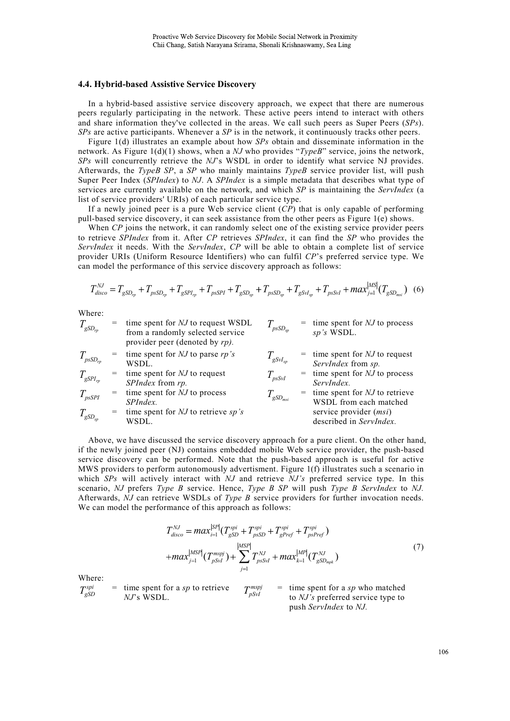#### **4.4. Hybrid-based Assistive Service Discovery**

In a hybrid-based assistive service discovery approach, we expect that there are numerous peers regularly participating in the network. These active peers intend to interact with others and share information they've collected in the areas. We call such peers as Super Peers (*SPs*). *SPs* are active participants. Whenever a *SP* is in the network, it continuously tracks other peers.

Figure 1(d) illustrates an example about how *SPs* obtain and disseminate information in the network. As Figure 1(d)(1) shows, when a *NJ* who provides "*TypeB*" service, joins the network, *SPs* will concurrently retrieve the *NJ*'s WSDL in order to identify what service NJ provides. Afterwards, the *TypeB SP*, a *SP* who mainly maintains *TypeB* service provider list, will push Super Peer Index (*SPIndex*) to *NJ*. A *SPIndex* is a simple metadata that describes what type of services are currently available on the network, and which *SP* is maintaining the *ServIndex* (a list of service providers' URIs) of each particular service type.

If a newly joined peer is a pure Web service client (*CP*) that is only capable of performing pull-based service discovery, it can seek assistance from the other peers as Figure 1(e) shows.

When *CP* joins the network, it can randomly select one of the existing service provider peers to retrieve *SPIndex* from it. After *CP* retrieves *SPIndex*, it can find the *SP* who provides the *ServIndex* it needs. With the *ServIndex*, *CP* will be able to obtain a complete list of service provider URIs (Uniform Resource Identifiers) who can fulfil *CP*'s preferred service type. We can model the performance of this service discovery approach as follows:

$$
T_{disco}^{N J} = T_{gSD_{rp}} + T_{pSSD_{rp}} + T_{gSPI_{rp}} + T_{pSSPI} + T_{gSD_{sp}} + T_{pSSD_{sp}} + T_{gSVI_{sp}} + T_{pSSVI} + \frac{1}{2} \left( T_{gSD_{msi}} \right) \tag{6}
$$

Where:

| $T_{\mathit{gSD}_m}$             |     | time spent for NJ to request WSDL<br>from a randomly selected service<br>provider peer (denoted by $rp$ ). | $I_{psSD_{sn}}$                   | $=$ time spent for NJ to process<br>sp's WSDL.              |
|----------------------------------|-----|------------------------------------------------------------------------------------------------------------|-----------------------------------|-------------------------------------------------------------|
| $T_{\rm psSD_{rp}}$              | $=$ | time spent for $NJ$ to parse $rp's$<br>WSDL.                                                               | $T_{\mathit{gSvl}_{\mathit{so}}}$ | $=$ time spent for NJ to request<br>ServIndex from sp.      |
| $T_{\mathit{gSPI_{rp}}}$         |     | time spent for NJ to request<br>SPIndex from rp.                                                           | $T_{\rm\scriptscriptstyle pssM}$  | $=$ time spent for NJ to process<br>ServIndex.              |
| $T_{psSPI}$                      |     | time spent for NJ to process<br>SPIndex.                                                                   | $T_{\mathit{gSD}_{\mathit{msr}}}$ | $=$ time spent for NJ to retrieve<br>WSDL from each matched |
| $T_{\mathit{gSD}_{\mathit{sp}}}$ |     | time spent for $NJ$ to retrieve sp's<br>WSDL.                                                              |                                   | service provider ( <i>msi</i> )<br>described in ServIndex.  |

Above, we have discussed the service discovery approach for a pure client. On the other hand, if the newly joined peer (NJ) contains embedded mobile Web service provider, the push-based service discovery can be performed. Note that the push-based approach is useful for active MWS providers to perform autonomously advertisment. Figure 1(f) illustrates such a scenario in which *SPs* will actively interact with *NJ* and retrieve *NJ's* preferred service type. In this scenario, *NJ* prefers *Type B* service. Hence, *Type B SP* will push *Type B ServIndex* to *NJ.*  Afterwards, *NJ* can retrieve WSDLs of *Type B* service providers for further invocation needs. We can model the performance of this approach as follows:

$$
T_{disco}^{NJ} = max_{i=1}^{|SP|} (T_{gSD}^{spin} + T_{pSSD}^{spin} + T_{gPref}^{spin} + T_{pspref}^{spin})
$$
  
+
$$
max_{j=1}^{|MSP|} (T_{pSVI}^{mspj}) + \sum_{j=1}^{|MSP|} T_{pSSVI}^{NJ} + max_{k=1}^{|MP|} (T_{gSD_{mpk}}^{NJ})
$$

$$
(7)
$$

Where:

$$
T_{gSD}^{spin} = \text{time spent for a } sp \text{ to retrieve}
$$
\n
$$
T_{pSVI}^{mspj} = \text{time spent for a } sp \text{ who matched to } NJ's \text{ preferred service type to push ServIndex to NJ.
$$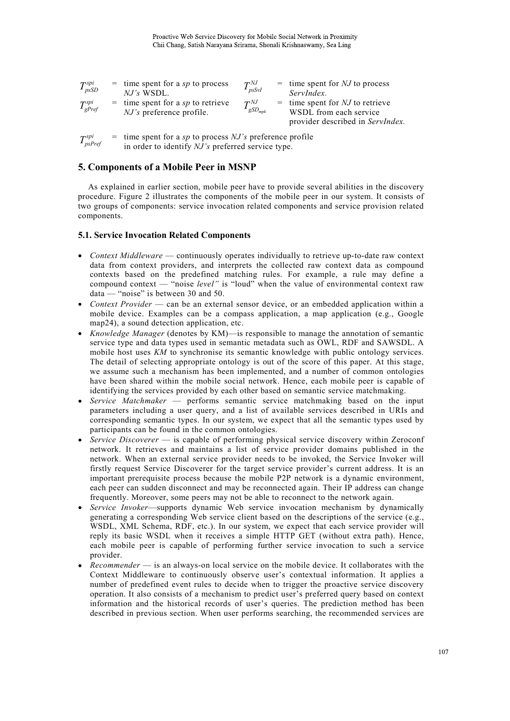| $T_{psSD}^{spi}$  | $=$ time spent for a sp to process<br>$NJ's$ WSDL.                     | $T_{psSvl}^{NJ}$            | $=$ time spent for NJ to process<br>ServIndex.                                                  |
|-------------------|------------------------------------------------------------------------|-----------------------------|-------------------------------------------------------------------------------------------------|
| $T_{gPref}^{spi}$ | $=$ time spent for a sp to retrieve<br><i>NJ's</i> preference profile. | $T^{NJ}$<br>$I_{gSD_{mpk}}$ | $=$ time spent for NJ to retrieve<br>WSDL from each service<br>provider described in ServIndex. |

*TpsPref*  $s$  time spent for a *sp* to process *NJ's* preference profile in order to identify *NJ's* preferred service type.

# **5. Components of a Mobile Peer in MSNP**

As explained in earlier section, mobile peer have to provide several abilities in the discovery procedure. Figure 2 illustrates the components of the mobile peer in our system. It consists of two groups of components: service invocation related components and service provision related components.

## **5.1. Service Invocation Related Components**

- *Context Middleware* continuously operates individually to retrieve up-to-date raw context data from context providers, and interprets the collected raw context data as compound contexts based on the predefined matching rules. For example, a rule may define a compound context — "noise *level"* is "loud" when the value of environmental context raw data — "noise" is between 30 and 50.
- *Context Provider* can be an external sensor device, or an embedded application within a mobile device. Examples can be a compass application, a map application (e.g., Google map24), a sound detection application, etc.
- *Knowledge Manager* (denotes by KM)—is responsible to manage the annotation of semantic service type and data types used in semantic metadata such as OWL, RDF and SAWSDL. A mobile host uses *KM* to synchronise its semantic knowledge with public ontology services. The detail of selecting appropriate ontology is out of the score of this paper. At this stage, we assume such a mechanism has been implemented, and a number of common ontologies have been shared within the mobile social network. Hence, each mobile peer is capable of identifying the services provided by each other based on semantic service matchmaking.
- *Service Matchmaker* performs semantic service matchmaking based on the input parameters including a user query, and a list of available services described in URIs and corresponding semantic types. In our system, we expect that all the semantic types used by participants can be found in the common ontologies.
- *Service Discoverer* is capable of performing physical service discovery within Zeroconf network. It retrieves and maintains a list of service provider domains published in the network. When an external service provider needs to be invoked, the Service Invoker will firstly request Service Discoverer for the target service provider's current address. It is an important prerequisite process because the mobile P2P network is a dynamic environment, each peer can sudden disconnect and may be reconnected again. Their IP address can change frequently. Moreover, some peers may not be able to reconnect to the network again.
- *Service Invoker*—supports dynamic Web service invocation mechanism by dynamically generating a corresponding Web service client based on the descriptions of the service (e.g., WSDL, XML Schema, RDF, etc.). In our system, we expect that each service provider will reply its basic WSDL when it receives a simple HTTP GET (without extra path). Hence, each mobile peer is capable of performing further service invocation to such a service provider.
- *Recommender* is an always-on local service on the mobile device. It collaborates with the Context Middleware to continuously observe user's contextual information. It applies a number of predefined event rules to decide when to trigger the proactive service discovery operation. It also consists of a mechanism to predict user's preferred query based on context information and the historical records of user's queries. The prediction method has been described in previous section. When user performs searching, the recommended services are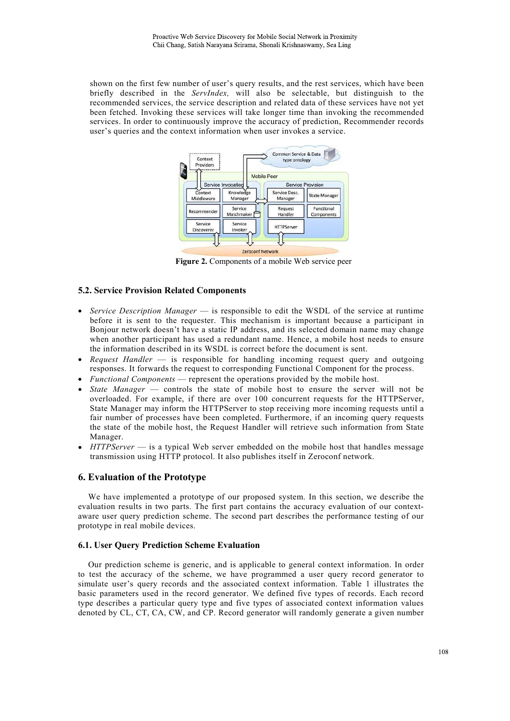shown on the first few number of user's query results, and the rest services, which have been briefly described in the *ServIndex,* will also be selectable, but distinguish to the recommended services, the service description and related data of these services have not yet been fetched. Invoking these services will take longer time than invoking the recommended services. In order to continuously improve the accuracy of prediction, Recommender records user's queries and the context information when user invokes a service.



**Figure 2.** Components of a mobile Web service peer

# **5.2. Service Provision Related Components**

- *Service Description Manager* is responsible to edit the WSDL of the service at runtime before it is sent to the requester. This mechanism is important because a participant in Bonjour network doesn't have a static IP address, and its selected domain name may change when another participant has used a redundant name. Hence, a mobile host needs to ensure the information described in its WSDL is correct before the document is sent.
- *Request Handler* is responsible for handling incoming request query and outgoing responses. It forwards the request to corresponding Functional Component for the process.
- *Functional Components* represent the operations provided by the mobile host.
- *State Manager* controls the state of mobile host to ensure the server will not be overloaded. For example, if there are over 100 concurrent requests for the HTTPServer, State Manager may inform the HTTPServer to stop receiving more incoming requests until a fair number of processes have been completed. Furthermore, if an incoming query requests the state of the mobile host, the Request Handler will retrieve such information from State Manager.
- *HTTPServer* is a typical Web server embedded on the mobile host that handles message transmission using HTTP protocol. It also publishes itself in Zeroconf network.

# **6. Evaluation of the Prototype**

We have implemented a prototype of our proposed system. In this section, we describe the evaluation results in two parts. The first part contains the accuracy evaluation of our contextaware user query prediction scheme. The second part describes the performance testing of our prototype in real mobile devices.

### **6.1. User Query Prediction Scheme Evaluation**

Our prediction scheme is generic, and is applicable to general context information. In order to test the accuracy of the scheme, we have programmed a user query record generator to simulate user's query records and the associated context information. Table 1 illustrates the basic parameters used in the record generator. We defined five types of records. Each record type describes a particular query type and five types of associated context information values denoted by CL, CT, CA, CW, and CP. Record generator will randomly generate a given number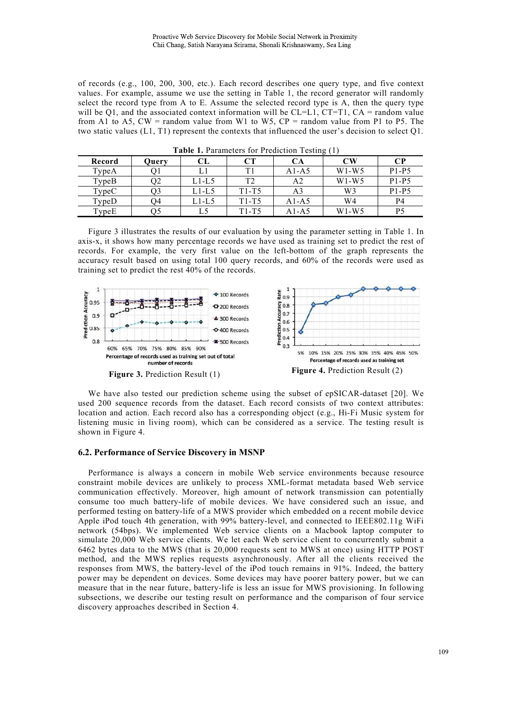of records (e.g., 100, 200, 300, etc.). Each record describes one query type, and five context values. For example, assume we use the setting in Table 1, the record generator will randomly select the record type from A to E. Assume the selected record type is A, then the query type will be Q1, and the associated context information will be  $CL=L1$ ,  $CT=T1$ ,  $CA =$  random value from A1 to A5, CW = random value from W1 to W5, CP = random value from P1 to P5. The two static values (L1, T1) represent the contexts that influenced the user's decision to select Q1.

| Record | Query          | CL    | CТ      | CА      | $\bf{CW}$      | $\bf CP$ |
|--------|----------------|-------|---------|---------|----------------|----------|
| TypeA  |                |       | T1      | A1-A5   | $W1-W5$        | $P1-P5$  |
| TypeB  | O2             | L1-L5 | T2      | A2      | $W1-W5$        | $P1-P5$  |
| TypeC  | O <sub>3</sub> | L1-L5 | $T1-T5$ | A3      | W <sub>3</sub> | $P1-P5$  |
| TypeD  | O4             | L1-L5 | $T1-T5$ | $A1-A5$ | W4             | P4       |
| TypeE  | O5             |       | $T1-T5$ | A1-A5   | $W1-W5$        | P5       |

**Table 1.** Parameters for Prediction Testing (1)

Figure 3 illustrates the results of our evaluation by using the parameter setting in Table 1. In axis-x, it shows how many percentage records we have used as training set to predict the rest of records. For example, the very first value on the left-bottom of the graph represents the accuracy result based on using total 100 query records, and 60% of the records were used as training set to predict the rest 40% of the records.



We have also tested our prediction scheme using the subset of epSICAR-dataset [20]. We used 200 sequence records from the dataset. Each record consists of two context attributes: location and action. Each record also has a corresponding object (e.g., Hi-Fi Music system for listening music in living room), which can be considered as a service. The testing result is shown in Figure 4.

#### **6.2. Performance of Service Discovery in MSNP**

Performance is always a concern in mobile Web service environments because resource constraint mobile devices are unlikely to process XML-format metadata based Web service communication effectively. Moreover, high amount of network transmission can potentially consume too much battery-life of mobile devices. We have considered such an issue, and performed testing on battery-life of a MWS provider which embedded on a recent mobile device Apple iPod touch 4th generation, with 99% battery-level, and connected to IEEE802.11g WiFi network (54bps). We implemented Web service clients on a Macbook laptop computer to simulate 20,000 Web service clients. We let each Web service client to concurrently submit a 6462 bytes data to the MWS (that is 20,000 requests sent to MWS at once) using HTTP POST method, and the MWS replies requests asynchronously. After all the clients received the responses from MWS, the battery-level of the iPod touch remains in 91%. Indeed, the battery power may be dependent on devices. Some devices may have poorer battery power, but we can measure that in the near future, battery-life is less an issue for MWS provisioning. In following subsections, we describe our testing result on performance and the comparison of four service discovery approaches described in Section 4.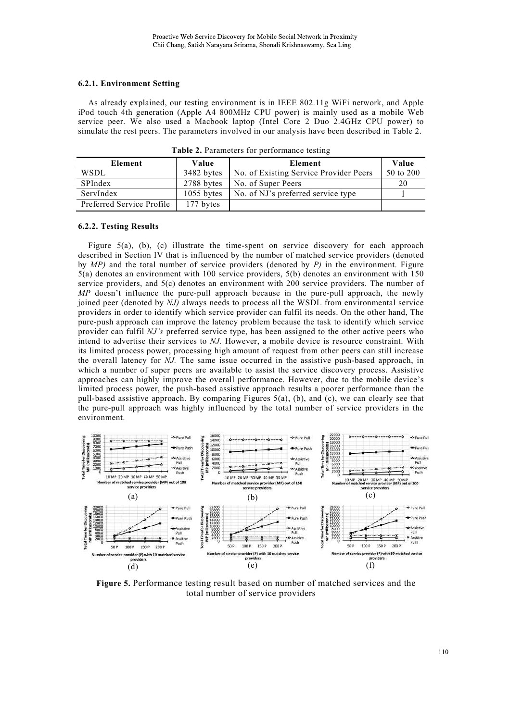## **6.2.1. Environment Setting**

As already explained, our testing environment is in IEEE 802.11g WiFi network, and Apple iPod touch 4th generation (Apple A4 800MHz CPU power) is mainly used as a mobile Web service peer. We also used a Macbook laptop (Intel Core 2 Duo 2.4GHz CPU power) to simulate the rest peers. The parameters involved in our analysis have been described in Table 2.

| Element                   | Value        | Element                                | Value     |
|---------------------------|--------------|----------------------------------------|-----------|
| WSDL                      | 3482 bytes   | No. of Existing Service Provider Peers | 50 to 200 |
| SPIndex                   | 2788 bytes   | No. of Super Peers                     | 20        |
| ServIndex                 | $1055$ bytes | No. of NJ's preferred service type     |           |
| Preferred Service Profile | 177 bytes    |                                        |           |

**Table 2.** Parameters for performance testing

### **6.2.2. Testing Results**

Figure  $5(a)$ , (b), (c) illustrate the time-spent on service discovery for each approach described in Section IV that is influenced by the number of matched service providers (denoted by *MP)* and the total number of service providers (denoted by *P)* in the environment. Figure 5(a) denotes an environment with 100 service providers, 5(b) denotes an environment with 150 service providers, and 5(c) denotes an environment with 200 service providers. The number of *MP* doesn't influence the pure-pull approach because in the pure-pull approach, the newly joined peer (denoted by *NJ)* always needs to process all the WSDL from environmental service providers in order to identify which service provider can fulfil its needs. On the other hand, The pure-push approach can improve the latency problem because the task to identify which service provider can fulfil *NJ's* preferred service type, has been assigned to the other active peers who intend to advertise their services to *NJ.* However, a mobile device is resource constraint. With its limited process power, processing high amount of request from other peers can still increase the overall latency for *NJ.* The same issue occurred in the assistive push-based approach, in which a number of super peers are available to assist the service discovery process. Assistive approaches can highly improve the overall performance. However, due to the mobile device's limited process power, the push-based assistive approach results a poorer performance than the pull-based assistive approach. By comparing Figures 5(a), (b), and (c), we can clearly see that the pure-pull approach was highly influenced by the total number of service providers in the environment.



**Figure 5.** Performance testing result based on number of matched services and the total number of service providers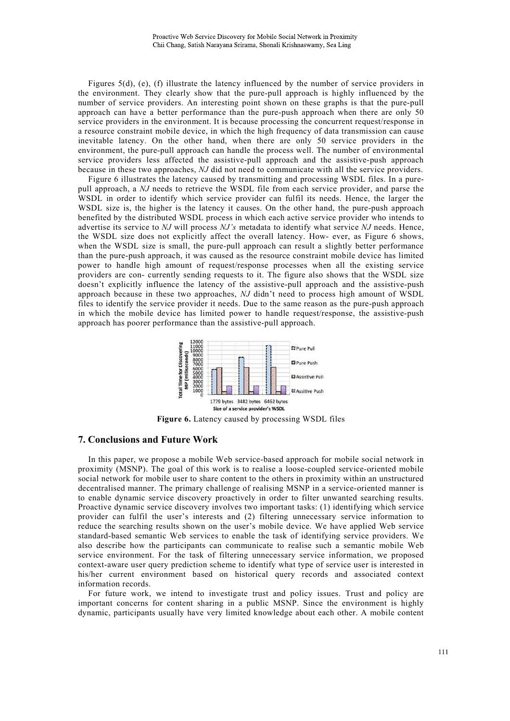Figures 5(d), (e), (f) illustrate the latency influenced by the number of service providers in the environment. They clearly show that the pure-pull approach is highly influenced by the number of service providers. An interesting point shown on these graphs is that the pure-pull approach can have a better performance than the pure-push approach when there are only 50 service providers in the environment. It is because processing the concurrent request/response in a resource constraint mobile device, in which the high frequency of data transmission can cause inevitable latency. On the other hand, when there are only 50 service providers in the environment, the pure-pull approach can handle the process well. The number of environmental service providers less affected the assistive-pull approach and the assistive-push approach because in these two approaches, *NJ* did not need to communicate with all the service providers.

Figure 6 illustrates the latency caused by transmitting and processing WSDL files. In a purepull approach, a *NJ* needs to retrieve the WSDL file from each service provider, and parse the WSDL in order to identify which service provider can fulfil its needs. Hence, the larger the WSDL size is, the higher is the latency it causes. On the other hand, the pure-push approach benefited by the distributed WSDL process in which each active service provider who intends to advertise its service to *NJ* will process *NJ's* metadata to identify what service *NJ* needs. Hence, the WSDL size does not explicitly affect the overall latency. How- ever, as Figure 6 shows, when the WSDL size is small, the pure-pull approach can result a slightly better performance than the pure-push approach, it was caused as the resource constraint mobile device has limited power to handle high amount of request/response processes when all the existing service providers are con- currently sending requests to it. The figure also shows that the WSDL size doesn't explicitly influence the latency of the assistive-pull approach and the assistive-push approach because in these two approaches, *NJ* didn't need to process high amount of WSDL files to identify the service provider it needs. Due to the same reason as the pure-push approach in which the mobile device has limited power to handle request/response, the assistive-push approach has poorer performance than the assistive-pull approach.



**Figure 6.** Latency caused by processing WSDL files

## **7. Conclusions and Future Work**

In this paper, we propose a mobile Web service-based approach for mobile social network in proximity (MSNP). The goal of this work is to realise a loose-coupled service-oriented mobile social network for mobile user to share content to the others in proximity within an unstructured decentralised manner. The primary challenge of realising MSNP in a service-oriented manner is to enable dynamic service discovery proactively in order to filter unwanted searching results. Proactive dynamic service discovery involves two important tasks: (1) identifying which service provider can fulfil the user's interests and (2) filtering unnecessary service information to reduce the searching results shown on the user's mobile device. We have applied Web service standard-based semantic Web services to enable the task of identifying service providers. We also describe how the participants can communicate to realise such a semantic mobile Web service environment. For the task of filtering unnecessary service information, we proposed context-aware user query prediction scheme to identify what type of service user is interested in his/her current environment based on historical query records and associated context information records.

For future work, we intend to investigate trust and policy issues. Trust and policy are important concerns for content sharing in a public MSNP. Since the environment is highly dynamic, participants usually have very limited knowledge about each other. A mobile content